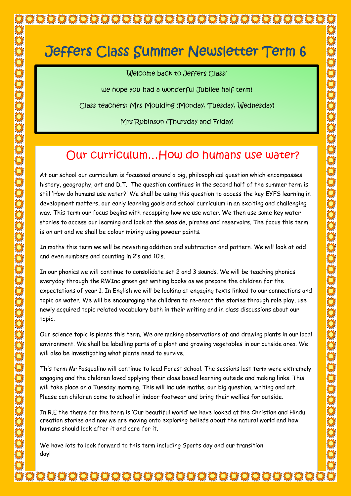# Jeffers Class Summer Newsletter Term 6

Welcome back to Jeffers Class!

we hope you had a wonderful Jubilee half term!

Class teachers: Mrs Moulding (Monday, Tuesday, Wednesday)

Mrs Robinson (Thursday and Friday)

## Our curriculum…How do humans use water?

At our school our curriculum is focussed around a big, philosophical question which encompasses history, geography, art and D.T. The question continues in the second half of the summer term is still 'How do humans use water?' We shall be using this question to access the key EYFS learning in development matters, our early learning goals and school curriculum in an exciting and challenging way. This term our focus begins with recapping how we use water. We then use some key water stories to access our learning and look at the seaside, pirates and reservoirs. The focus this term is on art and we shall be colour mixing using powder paints.

In maths this term we will be revisiting addition and subtraction and pattern. We will look at odd and even numbers and counting in 2's and 10's.

In our phonics we will continue to consolidate set 2 and 3 sounds. We will be teaching phonics everyday through the RWInc green get writing books as we prepare the children for the expectations of year 1. In English we will be looking at engaging texts linked to our connections and topic on water. We will be encouraging the children to re-enact the stories through role play, use newly acquired topic related vocabulary both in their writing and in class discussions about our topic.

Our science topic is plants this term. We are making observations of and drawing plants in our local environment. We shall be labelling parts of a plant and growing vegetables in our outside area. We will also be investigating what plants need to survive.

This term Mr Pasqualino will continue to lead Forest school. The sessions last term were extremely engaging and the children loved applying their class based learning outside and making links. This will take place on a Tuesday morning. This will include maths, our big question, writing and art. Please can children come to school in indoor footwear and bring their wellies for outside.

creation stories and now we are moving onto exploring beliefs about the natural world and how In R.E the theme for the term is 'Our beautiful world' we have looked at the Christian and Hindu humans should look after it and care for it.

We have lots to look forward to this term including Sports day and our transition day!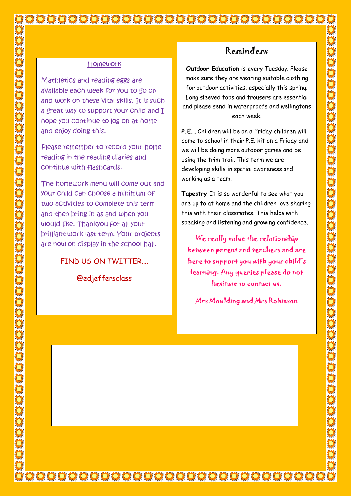#### **Homework**

Mathletics and reading eggs are available each week for you to go on and work on these vital skills. It is such a great way to support your child and I hope you continue to log on at home and enjoy doing this.

Please remember to record your home reading in the reading diaries and continue with flashcards.

The homework menu will come out and your child can choose a minimum of two activities to complete this term and then bring in as and when you would like. Thankyou for all your brilliant work last term. Your projects are now on display in the school hall.

#### FIND US ON TWITTER….

@edjeffersclass

### Reminders

**Outdoor Education** is every Tuesday. Please make sure they are wearing suitable clothing for outdoor activities, especially this spring. Long sleeved tops and trousers are essential and please send in waterproofs and wellingtons each week.

**P.E**…..Children will be on a Friday children will come to school in their P.E. kit on a Friday and we will be doing more outdoor games and be using the trim trail. This term we are developing skills in spatial awareness and working as a team.

**Tapestry** It is so wonderful to see what you are up to at home and the children love sharing this with their classmates. This helps with speaking and listening and growing confidence.

We really value the relationship between parent and teachers and are here to support you with your child's learning. Any queries please do not hesitate to contact us.

Mrs Moulding and Mrs Robinson